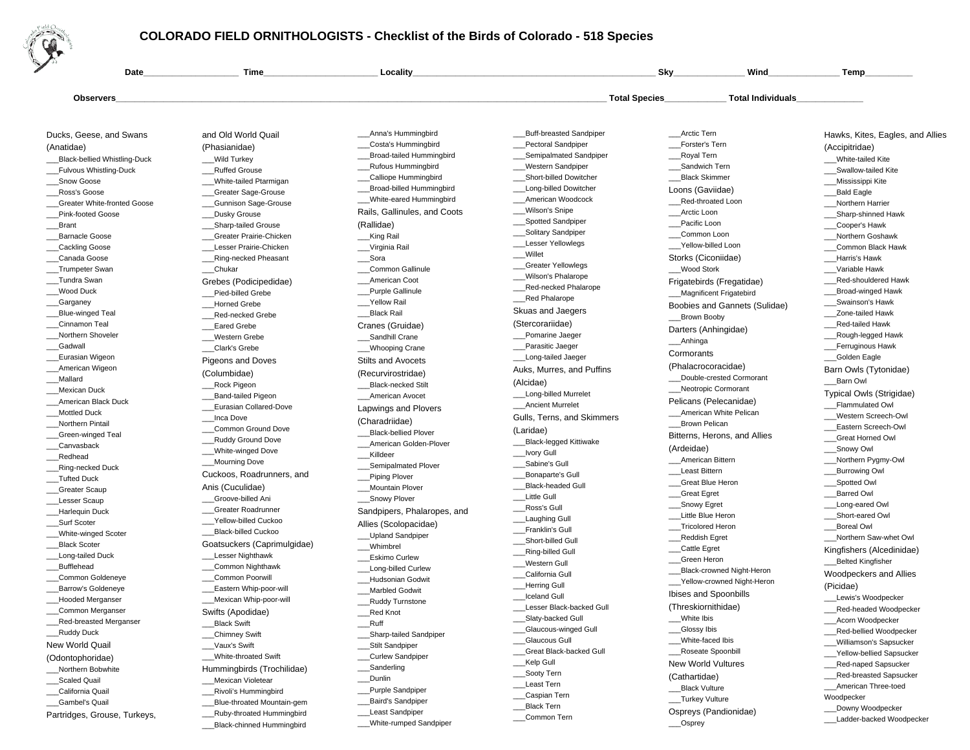

## **COLORADO FIELD ORNITHOLOGISTS - Checklist of the Birds of Colorado - 518 Species**

\_\_\_White-rumped Sandpiper

\_\_\_Black-chinned Hummingbird

| Date                               | <b>Time</b>                 | <b>Locality</b>                 |                            | Sky                                              | Wind                          | Temp                             |
|------------------------------------|-----------------------------|---------------------------------|----------------------------|--------------------------------------------------|-------------------------------|----------------------------------|
| Observers                          |                             |                                 |                            | <b>Total Species</b><br><b>Total Individuals</b> |                               |                                  |
|                                    |                             |                                 |                            |                                                  |                               |                                  |
| Ducks, Geese, and Swans            | and Old World Quail         | Anna's Hummingbird              | _Buff-breasted Sandpiper   | Arctic Tern                                      |                               | Hawks, Kites, Eagles, and Allies |
| (Anatidae)                         | (Phasianidae)               | _Costa's Hummingbird            | Pectoral Sandpiper         | Forster's Tern                                   |                               | (Accipitridae)                   |
| _Black-bellied Whistling-Duck      | Wild Turkey                 | <b>Broad-tailed Hummingbird</b> | Semipalmated Sandpiper     | Royal Tern                                       |                               | White-tailed Kite                |
| _Fulvous Whistling-Duck            | _Ruffed Grouse              | _Rufous Hummingbird             | Western Sandpiper          | Sandwich Tern                                    |                               | Swallow-tailed Kite              |
| Snow Goose                         | White-tailed Ptarmigan      | _Calliope Hummingbird           | Short-billed Dowitcher     | <b>Black Skimmer</b>                             |                               | _Mississippi Kite                |
| Ross's Goose                       | _Greater Sage-Grouse        | Broad-billed Hummingbird        | _Long-billed Dowitcher     | Loons (Gaviidae)                                 |                               | Bald Eagle                       |
| <b>Greater White-fronted Goose</b> | <b>Gunnison Sage-Grouse</b> | White-eared Hummingbird         | American Woodcock          |                                                  | __Red-throated Loon           | Northern Harrier                 |
| <b>Pink-footed Goose</b>           | Dusky Grouse                | Rails, Gallinules, and Coots    | Wilson's Snipe             | Arctic Loon                                      |                               | ___Sharp-shinned Hawk            |
| Brant                              | _Sharp-tailed Grouse        | (Rallidae)                      | _Spotted Sandpiper         | Pacific Loon                                     |                               | _Cooper's Hawk                   |
| <b>Barnacle Goose</b>              | Greater Prairie-Chicken     | __King Rail                     | _Solitary Sandpiper        | ___Common Loon                                   |                               | Northern Goshawk                 |
| _Cackling Goose                    | Lesser Prairie-Chicken      | Virginia Rail                   | <b>Lesser Yellowlegs</b>   |                                                  | Yellow-billed Loon            | Common Black Hawk                |
| Canada Goose                       | _Ring-necked Pheasant       | __Sora                          | Willet                     |                                                  | Storks (Ciconiidae)           | Harris's Hawk                    |
| Trumpeter Swan                     | _Chukar                     | Common Gallinule                | <b>Greater Yellowlegs</b>  | Wood Stork                                       |                               | Variable Hawk                    |
| __Tundra Swan                      | Grebes (Podicipedidae)      | American Coot                   | Wilson's Phalarope         |                                                  | Frigatebirds (Fregatidae)     | Red-shouldered Hawk              |
| _Wood Duck                         | Pied-billed Grebe           | Purple Gallinule                | Red-necked Phalarope       |                                                  | __Magnificent Frigatebird     | _Broad-winged Hawk               |
| __Garganey                         | <b>Horned Grebe</b>         | Yellow Rail                     | <b>Red Phalarope</b>       |                                                  | Boobies and Gannets (Sulidae) | Swainson's Hawk                  |
| Blue-winged Teal                   | Red-necked Grebe            | <b>Black Rail</b>               | Skuas and Jaegers          |                                                  |                               | Zone-tailed Hawk                 |
| Cinnamon Teal                      | <b>Eared Grebe</b>          | Cranes (Gruidae)                | (Stercorariidae)           | Brown Booby                                      |                               | <b>Red-tailed Hawk</b>           |
| Northern Shoveler                  | Western Grebe               | Sandhill Crane                  | Pomarine Jaeger            |                                                  | Darters (Anhingidae)          | _Rough-legged Hawk               |
| _Gadwall                           | Clark's Grebe               | ___Whooping Crane               | _Parasitic Jaeger          | __Anhinga                                        |                               | Ferruginous Hawk                 |
| Eurasian Wigeon                    |                             |                                 | Long-tailed Jaeger         | Cormorants                                       |                               | _Golden Eagle                    |
| American Wigeon                    | <b>Pigeons and Doves</b>    | <b>Stilts and Avocets</b>       | Auks, Murres, and Puffins  |                                                  | (Phalacrocoracidae)           | Barn Owls (Tytonidae)            |
| _Mallard                           | (Columbidae)                | (Recurvirostridae)              |                            |                                                  | Double-crested Cormorant      | __Barn Owl                       |
| __Mexican Duck                     | Rock Pigeon                 | Black-necked Stilt              | (Alcidae)                  |                                                  | __Neotropic Cormorant         |                                  |
| American Black Duck                | Band-tailed Pigeon          | American Avocet                 | Long-billed Murrelet       |                                                  | Pelicans (Pelecanidae)        | Typical Owls (Strigidae)         |
| <b>Mottled Duck</b>                | _Eurasian Collared-Dove     | Lapwings and Plovers            | <b>Ancient Murrelet</b>    |                                                  | American White Pelican        | Flammulated Owl                  |
| Northern Pintail                   | Inca Dove                   | (Charadriidae)                  | Gulls, Terns, and Skimmers | <b>Brown Pelican</b>                             |                               | Western Screech-Owl              |
| _Green-winged Teal                 | <b>Common Ground Dove</b>   | <b>Black-bellied Plover</b>     | (Laridae)                  |                                                  | Bitterns, Herons, and Allies  | Eastern Screech-Owl              |
| _Canvasback                        | _Ruddy Ground Dove          | American Golden-Plover          | _Black-legged Kittiwake    |                                                  |                               | Great Horned Owl                 |
| Redhead                            | White-winged Dove           | Killdeer                        | _Ivory Gull                | (Ardeidae)                                       |                               | Snowy Owl                        |
| _Ring-necked Duck                  | _Mourning Dove              | Semipalmated Plover             | Sabine's Gull              | __American Bittern                               |                               | __Northern Pygmy-Owl             |
| Tufted Duck                        | Cuckoos, Roadrunners, and   | Piping Plover                   | Bonaparte's Gull           | __Least Bittern                                  |                               | _Burrowing Owl                   |
| _Greater Scaup                     | Anis (Cuculidae)            | Mountain Plover                 | <b>Black-headed Gull</b>   |                                                  | Great Blue Heron              | Spotted Owl                      |
| Lesser Scaup                       | Groove-billed Ani           | _Snowy Plover                   | <b>Little Gull</b>         | Great Egret                                      |                               | <b>Barred Owl</b>                |
| Harlequin Duck                     | Greater Roadrunner          | Sandpipers, Phalaropes, and     | Ross's Gull                | ___Snowy Egret                                   |                               | Long-eared Owl                   |
| __Surf Scoter                      | Yellow-billed Cuckoo        |                                 | _Laughing Gull             | Little Blue Heron                                |                               | Short-eared Owl                  |
| White-winged Scoter                | <b>Black-billed Cuckoo</b>  | Allies (Scolopacidae)           | Franklin's Gull            | __Tricolored Heron                               |                               | <b>Boreal Owl</b>                |
| <b>Black Scoter</b>                | Goatsuckers (Caprimulgidae) | Upland Sandpiper                | Short-billed Gull          | Reddish Egret                                    |                               | Northern Saw-whet Owl            |
| Long-tailed Duck                   | Lesser Nighthawk            | __Whimbrel                      | Ring-billed Gull           | <b>Cattle Egret</b>                              |                               | Kingfishers (Alcedinidae)        |
| Bufflehead                         | _Common Nighthawk           | <b>Eskimo Curlew</b>            | Western Gull               | __Green Heron                                    |                               | Belted Kingfisher                |
| Common Goldeneye                   | <b>Common Poorwill</b>      | <b>Long-billed Curlew</b>       | California Gull            |                                                  | _Black-crowned Night-Heron    | Woodpeckers and Allies           |
| Barrow's Goldeneye                 | Eastern Whip-poor-will      | <b>Hudsonian Godwit</b>         | Herring Gull               |                                                  | Yellow-crowned Night-Heron    | (Picidae)                        |
| <b>Hooded Merganser</b>            | Mexican Whip-poor-will      | <b>Marbled Godwit</b>           | <b>Iceland Gull</b>        |                                                  | Ibises and Spoonbills         | Lewis's Woodpecker               |
| Common Merganser                   |                             | _Ruddy Turnstone                | Lesser Black-backed Gull   |                                                  | (Threskiornithidae)           | _Red-headed Woodpecker           |
| _Red-breasted Merganser            | Swifts (Apodidae)           | Red Knot                        | ___Slaty-backed Gull       | ___White Ibis                                    |                               | ___Acorn Woodpecker              |
|                                    | Black Swift                 | Ruff                            | _Glaucous-winged Gull      | __Glossy Ibis                                    |                               | _Red-bellied Woodpecker          |
| __Ruddy Duck                       | __Chimney Swift             | __Sharp-tailed Sandpiper        | Glaucous Gull              | ___White-faced Ibis                              |                               | __Williamson's Sapsucker         |
| New World Quail                    | Vaux's Swift                | ___Stilt Sandpiper              | Great Black-backed Gull    |                                                  | _Roseate Spoonbill            | _Yellow-bellied Sapsucker        |
| (Odontophoridae)                   | ___White-throated Swift     | __Curlew Sandpiper              | __Kelp Gull                |                                                  | <b>New World Vultures</b>     | Red-naped Sapsucker              |
| Northern Bobwhite                  | Hummingbirds (Trochilidae)  | _Sanderling                     | ___Sooty Tern              |                                                  |                               | __Red-breasted Sapsucker         |
| Scaled Quail                       | Mexican Violetear           | __Dunlin                        | __Least Tern               | (Cathartidae)                                    |                               | __American Three-toed            |
| _California Quail                  | __Rivoli's Hummingbird      | _Purple Sandpiper               | _Caspian Tern              | Black Vulture                                    |                               | Woodpecker                       |
| Gambel's Quail                     | Blue-throated Mountain-gem  | ___Baird's Sandpiper            | <b>Black Tern</b>          | __Turkey Vulture                                 |                               | Downy Woodpecker                 |
| Partridges, Grouse, Turkeys,       | Ruby-throated Hummingbird   | Least Sandpiper                 | Common Tern                |                                                  | Ospreys (Pandionidae)         | Ladder-backed Woodnocker         |

\_\_\_Common Tern

\_\_\_Ladder-backed Woodpecker

\_\_\_Osprey